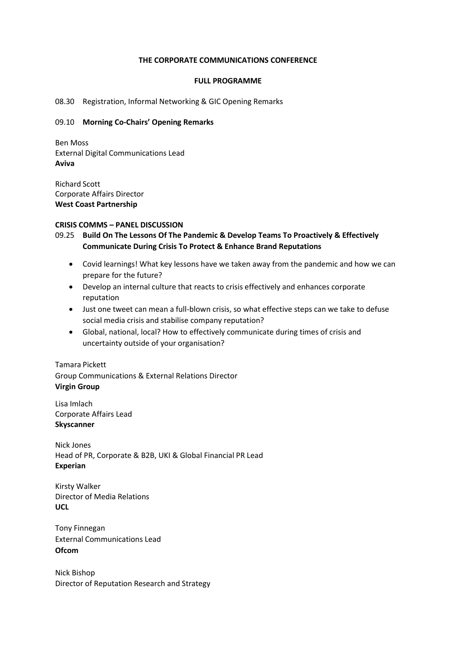### **THE CORPORATE COMMUNICATIONS CONFERENCE**

#### **FULL PROGRAMME**

### 08.30 Registration, Informal Networking & GIC Opening Remarks

### 09.10 **Morning Co-Chairs' Opening Remarks**

Ben Moss External Digital Communications Lead **Aviva**

Richard Scott Corporate Affairs Director **West Coast Partnership**

#### **CRISIS COMMS – PANEL DISCUSSION**

- 09.25 **Build On The Lessons Of The Pandemic & Develop Teams To Proactively & Effectively Communicate During Crisis To Protect & Enhance Brand Reputations**
	- Covid learnings! What key lessons have we taken away from the pandemic and how we can prepare for the future?
	- Develop an internal culture that reacts to crisis effectively and enhances corporate reputation
	- Just one tweet can mean a full-blown crisis, so what effective steps can we take to defuse social media crisis and stabilise company reputation?
	- Global, national, local? How to effectively communicate during times of crisis and uncertainty outside of your organisation?

Tamara Pickett Group Communications & External Relations Director **Virgin Group**

Lisa Imlach Corporate Affairs Lead **Skyscanner**

Nick Jones Head of PR, Corporate & B2B, UKI & Global Financial PR Lead **Experian**

Kirsty Walker Director of Media Relations **UCL**

Tony Finnegan External Communications Lead **Ofcom**

Nick Bishop Director of Reputation Research and Strategy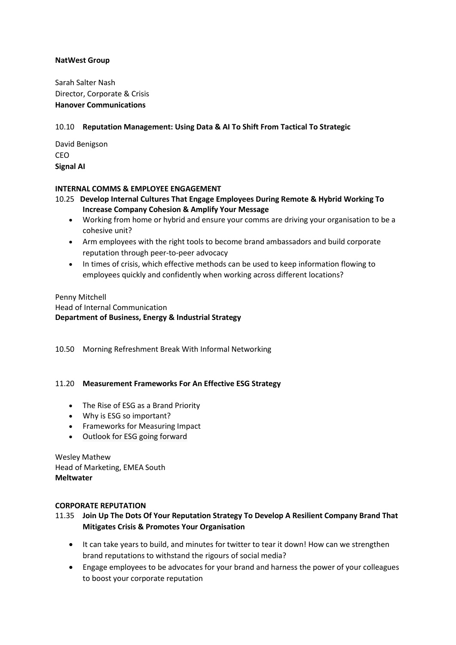# **NatWest Group**

Sarah Salter Nash Director, Corporate & Crisis **Hanover Communications**

# 10.10 **Reputation Management: Using Data & AI To Shift From Tactical To Strategic**

David Benigson CEO **Signal AI**

# **INTERNAL COMMS & EMPLOYEE ENGAGEMENT**

- 10.25 **Develop Internal Cultures That Engage Employees During Remote & Hybrid Working To Increase Company Cohesion & Amplify Your Message**
	- Working from home or hybrid and ensure your comms are driving your organisation to be a cohesive unit?
	- Arm employees with the right tools to become brand ambassadors and build corporate reputation through peer-to-peer advocacy
	- In times of crisis, which effective methods can be used to keep information flowing to employees quickly and confidently when working across different locations?

# Penny Mitchell Head of Internal Communication **Department of Business, Energy & Industrial Strategy**

10.50 Morning Refreshment Break With Informal Networking

## 11.20 **Measurement Frameworks For An Effective ESG Strategy**

- The Rise of ESG as a Brand Priority
- Why is ESG so important?
- Frameworks for Measuring Impact
- Outlook for ESG going forward

Wesley Mathew Head of Marketing, EMEA South **Meltwater**

## **CORPORATE REPUTATION**

# 11.35 **Join Up The Dots Of Your Reputation Strategy To Develop A Resilient Company Brand That Mitigates Crisis & Promotes Your Organisation**

- It can take years to build, and minutes for twitter to tear it down! How can we strengthen brand reputations to withstand the rigours of social media?
- Engage employees to be advocates for your brand and harness the power of your colleagues to boost your corporate reputation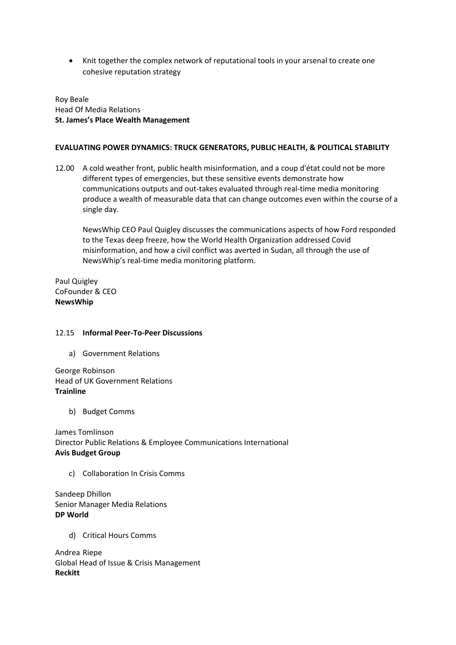• Knit together the complex network of reputational tools in your arsenal to create one cohesive reputation strategy

Roy Beale Head Of Media Relations **St. James's Place Wealth Management**

### **EVALUATING POWER DYNAMICS: TRUCK GENERATORS, PUBLIC HEALTH, & POLITICAL STABILITY**

12.00 A cold weather front, public health misinformation, and a coup d'état could not be more different types of emergencies, but these sensitive events demonstrate how communications outputs and out-takes evaluated through real-time media monitoring produce a wealth of measurable data that can change outcomes even within the course of a single day.

NewsWhip CEO Paul Quigley discusses the communications aspects of how Ford responded to the Texas deep freeze, how the World Health Organization addressed Covid misinformation, and how a civil conflict was averted in Sudan, all through the use of NewsWhip's real-time media monitoring platform.

Paul Quigley CoFounder & CEO **NewsWhip**

## 12.15 **Informal Peer-To-Peer Discussions**

a) Government Relations

George Robinson Head of UK Government Relations **Trainline**

b) Budget Comms

James Tomlinson Director Public Relations & Employee Communications International **Avis Budget Group**

c) Collaboration In Crisis Comms

Sandeep Dhillon Senior Manager Media Relations **DP World**

d) Critical Hours Comms

Andrea Riepe Global Head of Issue & Crisis Management **Reckitt**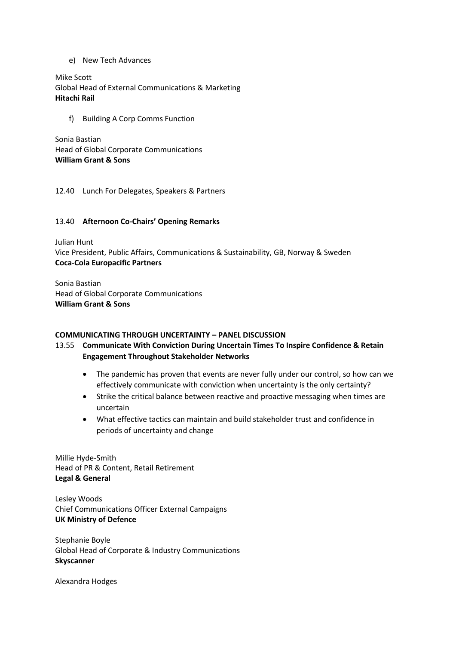e) New Tech Advances

Mike Scott Global Head of External Communications & Marketing **Hitachi Rail**

f) Building A Corp Comms Function

Sonia Bastian Head of Global Corporate Communications **William Grant & Sons**

12.40 Lunch For Delegates, Speakers & Partners

# 13.40 **Afternoon Co-Chairs' Opening Remarks**

Julian Hunt Vice President, Public Affairs, Communications & Sustainability, GB, Norway & Sweden **Coca-Cola Europacific Partners**

Sonia Bastian Head of Global Corporate Communications **William Grant & Sons**

## **COMMUNICATING THROUGH UNCERTAINTY – PANEL DISCUSSION**

# 13.55 **Communicate With Conviction During Uncertain Times To Inspire Confidence & Retain Engagement Throughout Stakeholder Networks**

- The pandemic has proven that events are never fully under our control, so how can we effectively communicate with conviction when uncertainty is the only certainty?
- Strike the critical balance between reactive and proactive messaging when times are uncertain
- What effective tactics can maintain and build stakeholder trust and confidence in periods of uncertainty and change

Millie Hyde-Smith Head of PR & Content, Retail Retirement **Legal & General**

Lesley Woods Chief Communications Officer External Campaigns **UK Ministry of Defence**

Stephanie Boyle Global Head of Corporate & Industry Communications **Skyscanner**

Alexandra Hodges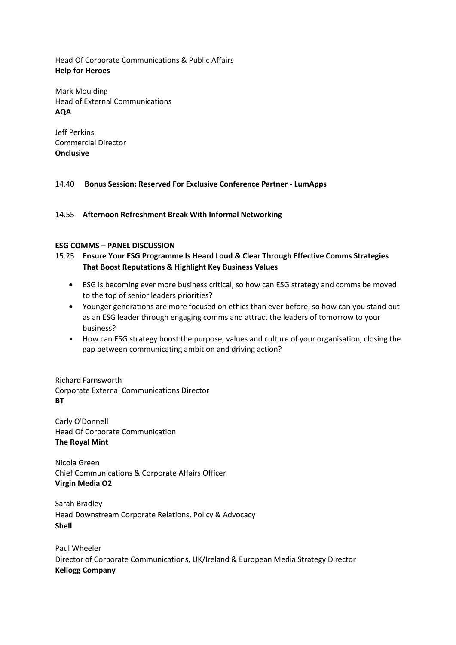Head Of Corporate Communications & Public Affairs **Help for Heroes**

Mark Moulding Head of External Communications **AQA**

Jeff Perkins Commercial Director **Onclusive**

# 14.40 **Bonus Session; Reserved For Exclusive Conference Partner - LumApps**

14.55 **Afternoon Refreshment Break With Informal Networking**

## **ESG COMMS – PANEL DISCUSSION**

- 15.25 **Ensure Your ESG Programme Is Heard Loud & Clear Through Effective Comms Strategies That Boost Reputations & Highlight Key Business Values**
	- ESG is becoming ever more business critical, so how can ESG strategy and comms be moved to the top of senior leaders priorities?
	- Younger generations are more focused on ethics than ever before, so how can you stand out as an ESG leader through engaging comms and attract the leaders of tomorrow to your business?
	- How can ESG strategy boost the purpose, values and culture of your organisation, closing the gap between communicating ambition and driving action?

Richard Farnsworth Corporate External Communications Director **BT**

Carly O'Donnell Head Of Corporate Communication **The Royal Mint**

Nicola Green Chief Communications & Corporate Affairs Officer **Virgin Media O2**

Sarah Bradley Head Downstream Corporate Relations, Policy & Advocacy **Shell**

Paul Wheeler Director of Corporate Communications, UK/Ireland & European Media Strategy Director **Kellogg Company**